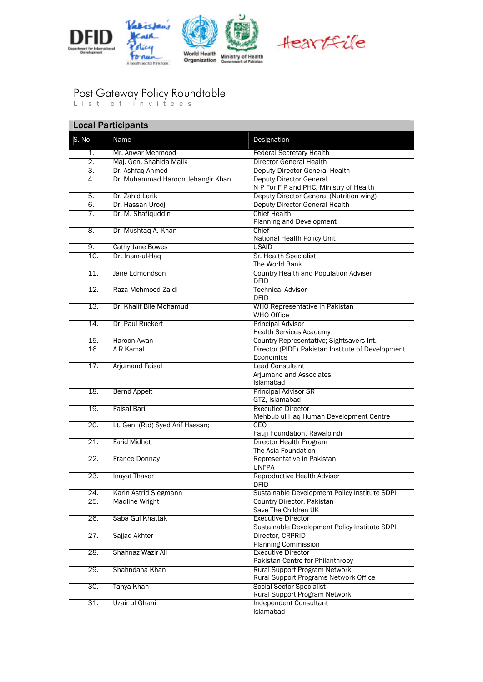



## Post Gateway Policy Roundtable

List of Invitees

|       | <b>Local Participants</b>         |                                                                            |  |  |
|-------|-----------------------------------|----------------------------------------------------------------------------|--|--|
| S. No | Name                              | Designation                                                                |  |  |
| 1.    | Mr. Anwar Mehmood                 | <b>Federal Secretary Health</b>                                            |  |  |
| 2.    | Maj. Gen. Shahida Malik           | <b>Director General Health</b>                                             |  |  |
| 3.    | Dr. Ashfaq Ahmed                  | Deputy Director General Health                                             |  |  |
| 4.    | Dr. Muhammad Haroon Jehangir Khan | <b>Deputy Director General</b>                                             |  |  |
|       |                                   | N P For F P and PHC, Ministry of Health                                    |  |  |
| 5.    | Dr. Zahid Larik                   | Deputy Director General (Nutrition wing)                                   |  |  |
| 6.    | Dr. Hassan Urooj                  | Deputy Director General Health                                             |  |  |
| 7.    | Dr. M. Shafiquddin                | <b>Chief Health</b><br>Planning and Development                            |  |  |
| 8.    | Dr. Mushtaq A. Khan               | Chief<br>National Health Policy Unit                                       |  |  |
| 9.    | Cathy Jane Bowes                  | <b>USAID</b>                                                               |  |  |
| 10.   | Dr. Inam-ul-Haq                   | Sr. Health Specialist<br>The World Bank                                    |  |  |
| 11.   | Jane Edmondson                    | Country Health and Population Adviser<br>DFID                              |  |  |
| 12.   | Raza Mehmood Zaidi                | <b>Technical Advisor</b><br><b>DFID</b>                                    |  |  |
| 13.   | Dr. Khalif Bile Mohamud           | WHO Representative in Pakistan<br>WHO Office                               |  |  |
| 14.   | Dr. Paul Ruckert                  | <b>Principal Advisor</b><br><b>Health Services Academy</b>                 |  |  |
| 15.   | Haroon Awan                       | Country Representative; Sightsavers Int.                                   |  |  |
| 16.   | A R Kamal                         | Director (PIDE), Pakistan Institute of Development<br>Economics            |  |  |
| 17.   | <b>Arjumand Faisal</b>            | <b>Lead Consultant</b><br>Arjumand and Associates                          |  |  |
|       |                                   | <b>Islamabad</b>                                                           |  |  |
| 18.   | <b>Bernd Appelt</b>               | <b>Principal Advisor SR</b><br>GTZ, Islamabad                              |  |  |
| 19.   | <b>Faisal Bari</b>                | <b>Executice Director</b><br>Mehbub ul Haq Human Development Centre        |  |  |
| 20.   | Lt. Gen. (Rtd) Syed Arif Hassan;  | CEO<br>Fauji Foundation, Rawalpindi                                        |  |  |
| 21.   | <b>Farid Midhet</b>               | Director Health Program                                                    |  |  |
|       |                                   | The Asia Foundation                                                        |  |  |
| 22.   | <b>France Donnay</b>              | Representative in Pakistan<br><b>UNFPA</b>                                 |  |  |
| 23.   | <b>Inayat Thaver</b>              | Reproductive Health Adviser<br>DFID                                        |  |  |
| 24.   | Karin Astrid Siegmann             | Sustainable Development Policy Institute SDPI                              |  |  |
| 25.   | <b>Madline Wright</b>             | Country Director, Pakistan<br>Save The Children UK                         |  |  |
| 26.   | Saba Gul Khattak                  | <b>Executive Director</b><br>Sustainable Development Policy Institute SDPI |  |  |
| 27.   | Sajjad Akhter                     | Director, CRPRID<br><b>Planning Commission</b>                             |  |  |
| 28.   | Shahnaz Wazir Ali                 | <b>Executive Director</b><br>Pakistan Centre for Philanthropy              |  |  |
| 29.   | Shahndana Khan                    | Rural Support Program Network                                              |  |  |
|       |                                   | Rural Support Programs Network Office                                      |  |  |
| 30.   | Tanya Khan                        | <b>Social Sector Specialist</b><br>Rural Support Program Network           |  |  |
| 31.   | Uzair ul Ghani                    | Independent Consultant<br>Islamabad                                        |  |  |